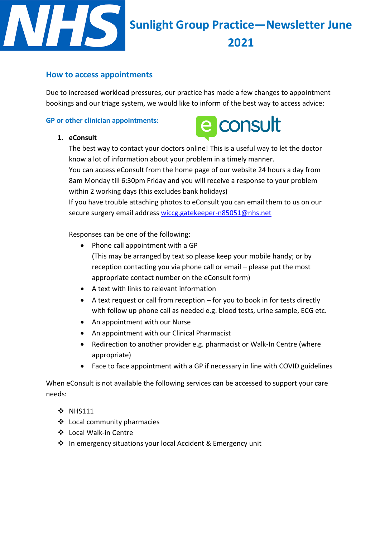

# **Sunlight Group Practice—Newsletter June 2021**

## **How to access appointments**

Due to increased workload pressures, our practice has made a few changes to appointment bookings and our triage system, we would like to inform of the best way to access advice:

## **GP or other clinician appointments:**

#### **1. eConsult**



The best way to contact your doctors online! This is a useful way to let the doctor know a lot of information about your problem in a timely manner. You can access eConsult from the home page of our website 24 hours a day from 8am Monday till 6:30pm Friday and you will receive a response to your problem within 2 working days (this excludes bank holidays)

If you have trouble attaching photos to eConsult you can email them to us on our secure surgery email address [wiccg.gatekeeper-n85051@nhs.net](mailto:wiccg.gatekeeper-n85051@nhs.net)

Responses can be one of the following:

- $\bullet$  Phone call appointment with a GP (This may be arranged by text so please keep your mobile handy; or by reception contacting you via phone call or email – please put the most appropriate contact number on the eConsult form)
- A text with links to relevant information
- A text request or call from reception for you to book in for tests directly with follow up phone call as needed e.g. blood tests, urine sample, ECG etc.
- An appointment with our Nurse
- An appointment with our Clinical Pharmacist
- Redirection to another provider e.g. pharmacist or Walk-In Centre (where appropriate)
- Face to face appointment with a GP if necessary in line with COVID guidelines

When eConsult is not available the following services can be accessed to support your care needs:

- **❖ NHS111**
- Local community pharmacies
- Local Walk-in Centre
- In emergency situations your local Accident & Emergency unit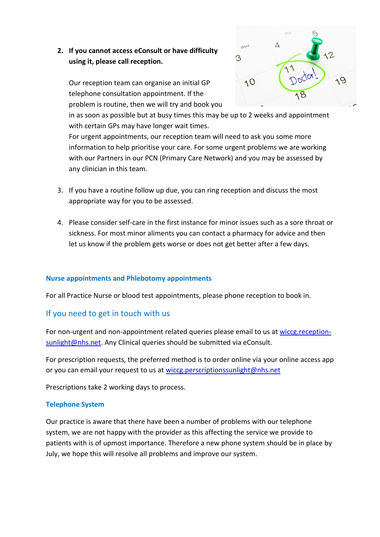## **2. If you cannot access eConsult or have difficulty using it, please call reception.**

Our reception team can organise an initial GP telephone consultation appointment. If the problem is routine, then we will try and book you



in as soon as possible but at busy times this may be up to 2 weeks and appointment with certain GPs may have longer wait times.

For urgent appointments, our reception team will need to ask you some more information to help prioritise your care. For some urgent problems we are working with our Partners in our PCN (Primary Care Network) and you may be assessed by any clinician in this team.

- 3. If you have a routine follow up due, you can ring reception and discuss the most appropriate way for you to be assessed.
- 4. Please consider self-care in the first instance for minor issues such as a sore throat or sickness. For most minor aliments you can contact a pharmacy for advice and then let us know if the problem gets worse or does not get better after a few days.

## **Nurse appointments and Phlebotomy appointments**

For all Practice Nurse or blood test appointments, please phone reception to book in.

## If you need to get in touch with us

For non-urgent and non-appointment related queries please email to us at [wiccg.reception](mailto:wiccg.reception-sunlight@nhs.net)[sunlight@nhs.net.](mailto:wiccg.reception-sunlight@nhs.net) Any Clinical queries should be submitted via eConsult.

For prescription requests, the preferred method is to order online via your online access app or you can email your request to us at [wiccg.perscriptionssunlight@nhs.net](mailto:wiccg.perscriptionssunlight@nhs.net)

Prescriptions take 2 working days to process.

#### **Telephone System**

Our practice is aware that there have been a number of problems with our telephone system, we are not happy with the provider as this affecting the service we provide to patients with is of upmost importance. Therefore a new phone system should be in place by July, we hope this will resolve all problems and improve our system.